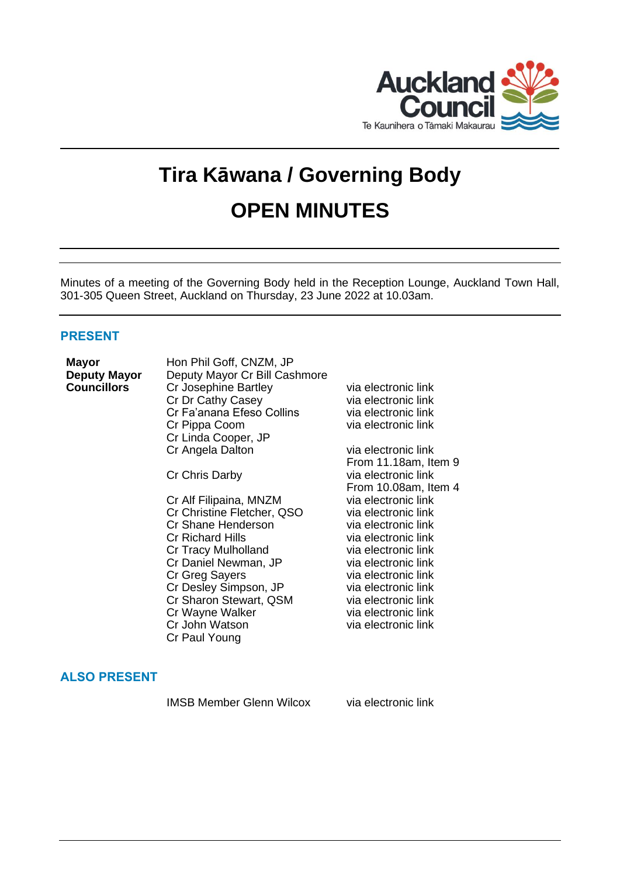

# **Tira Kāwana / Governing Body OPEN MINUTES**

Minutes of a meeting of the Governing Body held in the Reception Lounge, Auckland Town Hall, 301-305 Queen Street, Auckland on Thursday, 23 June 2022 at 10.03am.

# **PRESENT**

| <b>Mayor</b>        | Hon Phil Goff, CNZM, JP       |                      |
|---------------------|-------------------------------|----------------------|
| <b>Deputy Mayor</b> | Deputy Mayor Cr Bill Cashmore |                      |
| <b>Councillors</b>  | Cr Josephine Bartley          | via electronic link  |
|                     | Cr Dr Cathy Casey             | via electronic link  |
|                     | Cr Fa'anana Efeso Collins     | via electronic link  |
|                     | Cr Pippa Coom                 | via electronic link  |
|                     | Cr Linda Cooper, JP           |                      |
|                     | Cr Angela Dalton              | via electronic link  |
|                     |                               | From 11.18am, Item 9 |
|                     | Cr Chris Darby                | via electronic link  |
|                     |                               | From 10.08am, Item 4 |
|                     | Cr Alf Filipaina, MNZM        | via electronic link  |
|                     | Cr Christine Fletcher, QSO    | via electronic link  |
|                     | Cr Shane Henderson            | via electronic link  |
|                     | <b>Cr Richard Hills</b>       | via electronic link  |
|                     | Cr Tracy Mulholland           | via electronic link  |
|                     | Cr Daniel Newman, JP          | via electronic link  |
|                     | Cr Greg Sayers                | via electronic link  |
|                     | Cr Desley Simpson, JP         | via electronic link  |
|                     | Cr Sharon Stewart, QSM        | via electronic link  |
|                     | Cr Wayne Walker               | via electronic link  |
|                     | Cr John Watson                | via electronic link  |

# **ALSO PRESENT**

Cr Paul Young

IMSB Member Glenn Wilcox via electronic link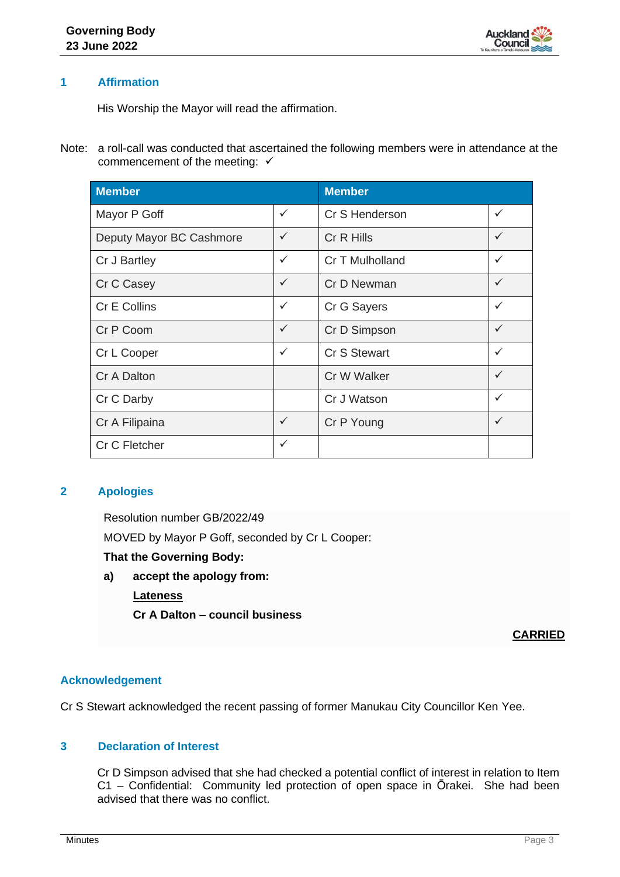

## **1 Affirmation**

His Worship the Mayor will read the affirmation.

Note: a roll-call was conducted that ascertained the following members were in attendance at the commencement of the meeting:  $\checkmark$ 

| <b>Member</b>            |              | <b>Member</b>   |              |
|--------------------------|--------------|-----------------|--------------|
| Mayor P Goff             | $\checkmark$ | Cr S Henderson  | $\checkmark$ |
| Deputy Mayor BC Cashmore | $\checkmark$ | Cr R Hills      | $\checkmark$ |
| Cr J Bartley             | $\checkmark$ | Cr T Mulholland | $\checkmark$ |
| Cr C Casey               | $\checkmark$ | Cr D Newman     | $\checkmark$ |
| Cr E Collins             | $\checkmark$ | Cr G Sayers     | $\checkmark$ |
| Cr P Coom                | $\checkmark$ | Cr D Simpson    | $\checkmark$ |
| Cr L Cooper              | $\checkmark$ | Cr S Stewart    | $\checkmark$ |
| Cr A Dalton              |              | Cr W Walker     | $\checkmark$ |
| Cr C Darby               |              | Cr J Watson     | ✓            |
| Cr A Filipaina           | $\checkmark$ | Cr P Young      | $\checkmark$ |
| Cr C Fletcher            | $\checkmark$ |                 |              |

## **2 Apologies**

Resolution number GB/2022/49 MOVED by Mayor P Goff, seconded by Cr L Cooper: **That the Governing Body: a) accept the apology from: Lateness**

**Cr A Dalton – council business**

**CARRIED**

## **Acknowledgement**

Cr S Stewart acknowledged the recent passing of former Manukau City Councillor Ken Yee.

## **3 Declaration of Interest**

Cr D Simpson advised that she had checked a potential conflict of interest in relation to Item C1 – Confidential: Community led protection of open space in Ōrakei. She had been advised that there was no conflict.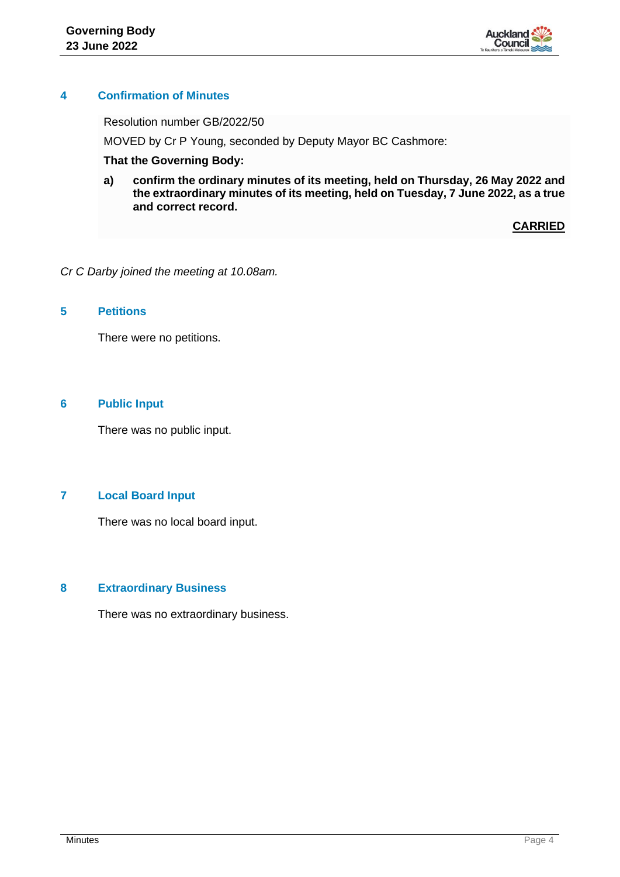

## **4 Confirmation of Minutes**

Resolution number GB/2022/50

MOVED by Cr P Young, seconded by Deputy Mayor BC Cashmore:

#### **That the Governing Body:**

**a) confirm the ordinary minutes of its meeting, held on Thursday, 26 May 2022 and the extraordinary minutes of its meeting, held on Tuesday, 7 June 2022, as a true and correct record.**

**CARRIED**

*Cr C Darby joined the meeting at 10.08am.*

## **5 Petitions**

There were no petitions.

#### **6 Public Input**

There was no public input.

# **7 Local Board Input**

There was no local board input.

## **8 Extraordinary Business**

There was no extraordinary business.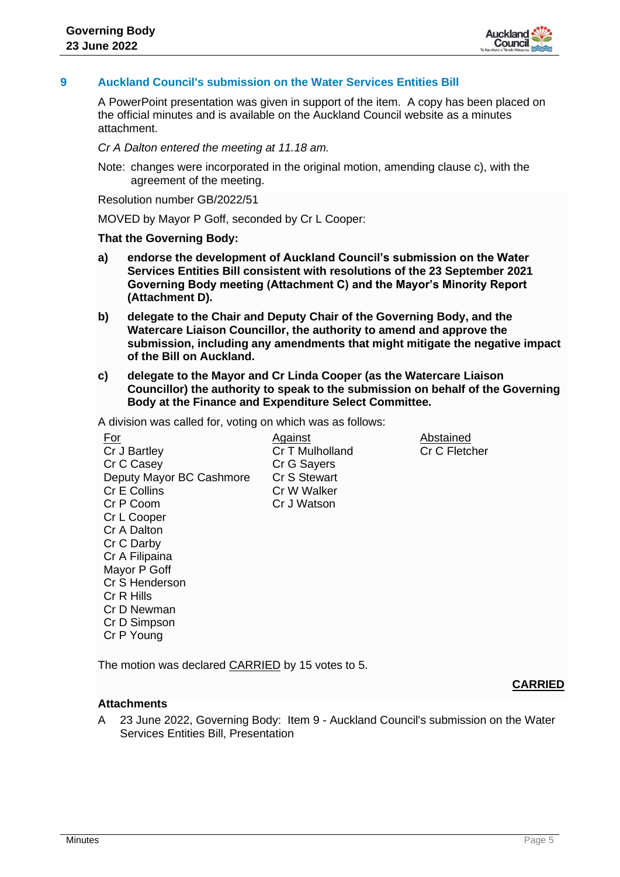

# **9 Auckland Council's submission on the Water Services Entities Bill**

A PowerPoint presentation was given in support of the item. A copy has been placed on the official minutes and is available on the Auckland Council website as a minutes attachment.

*Cr A Dalton entered the meeting at 11.18 am.*

Note: changes were incorporated in the original motion, amending clause c), with the agreement of the meeting.

Resolution number GB/2022/51

MOVED by Mayor P Goff, seconded by Cr L Cooper:

#### **That the Governing Body:**

- **a) endorse the development of Auckland Council's submission on the Water Services Entities Bill consistent with resolutions of the 23 September 2021 Governing Body meeting (Attachment C) and the Mayor's Minority Report (Attachment D).**
- **b) delegate to the Chair and Deputy Chair of the Governing Body, and the Watercare Liaison Councillor, the authority to amend and approve the submission, including any amendments that might mitigate the negative impact of the Bill on Auckland.**
- **c) delegate to the Mayor and Cr Linda Cooper (as the Watercare Liaison Councillor) the authority to speak to the submission on behalf of the Governing Body at the Finance and Expenditure Select Committee.**

A division was called for, voting on which was as follows:

For Cr J Bartley Cr C Casey Deputy Mayor BC Cashmore Cr E Collins Cr P Coom Cr L Cooper Cr A Dalton Cr C Darby Cr A Filipaina Mayor P Goff Cr S Henderson Cr R Hills Cr D Newman Cr D Simpson Cr P Young

Against Cr T Mulholland Cr G Sayers Cr S Stewart Cr W Walker Cr J Watson

Abstained Cr C Fletcher

The motion was declared **CARRIED** by 15 votes to 5.

**CARRIED**

## **Attachments**

A 23 June 2022, Governing Body: Item 9 - Auckland Council's submission on the Water Services Entities Bill, Presentation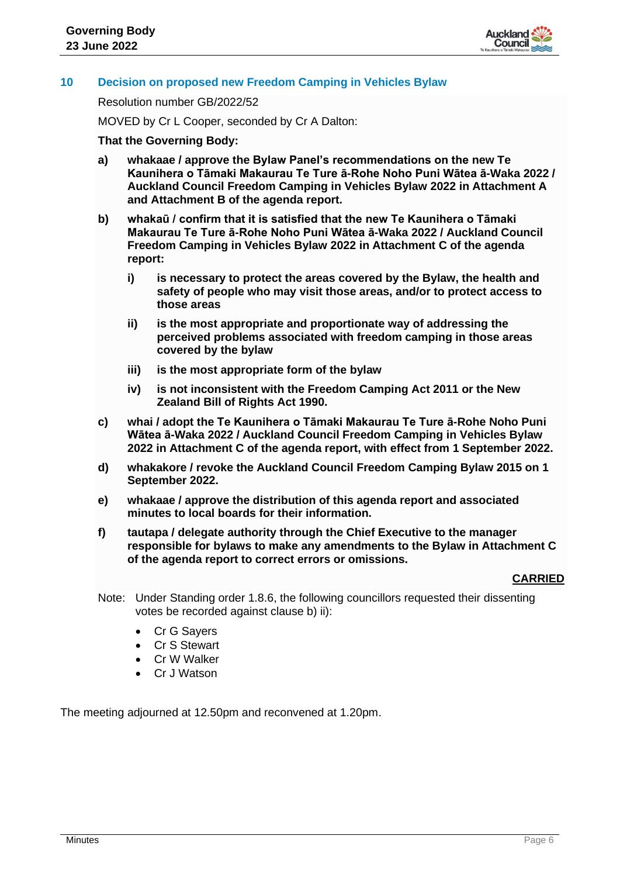

# **10 Decision on proposed new Freedom Camping in Vehicles Bylaw**

Resolution number GB/2022/52

MOVED by Cr L Cooper, seconded by Cr A Dalton:

#### **That the Governing Body:**

- **a) whakaae / approve the Bylaw Panel's recommendations on the new Te Kaunihera o Tāmaki Makaurau Te Ture ā-Rohe Noho Puni Wātea ā-Waka 2022 / Auckland Council Freedom Camping in Vehicles Bylaw 2022 in Attachment A and Attachment B of the agenda report.**
- **b) whakaū / confirm that it is satisfied that the new Te Kaunihera o Tāmaki Makaurau Te Ture ā-Rohe Noho Puni Wātea ā-Waka 2022 / Auckland Council Freedom Camping in Vehicles Bylaw 2022 in Attachment C of the agenda report:**
	- **i) is necessary to protect the areas covered by the Bylaw, the health and safety of people who may visit those areas, and/or to protect access to those areas**
	- **ii) is the most appropriate and proportionate way of addressing the perceived problems associated with freedom camping in those areas covered by the bylaw**
	- **iii) is the most appropriate form of the bylaw**
	- **iv) is not inconsistent with the Freedom Camping Act 2011 or the New Zealand Bill of Rights Act 1990.**
- **c) whai / adopt the Te Kaunihera o Tāmaki Makaurau Te Ture ā-Rohe Noho Puni Wātea ā-Waka 2022 / Auckland Council Freedom Camping in Vehicles Bylaw 2022 in Attachment C of the agenda report, with effect from 1 September 2022.**
- **d) whakakore / revoke the Auckland Council Freedom Camping Bylaw 2015 on 1 September 2022.**
- **e) whakaae / approve the distribution of this agenda report and associated minutes to local boards for their information.**
- **f) tautapa / delegate authority through the Chief Executive to the manager responsible for bylaws to make any amendments to the Bylaw in Attachment C of the agenda report to correct errors or omissions.**

#### **CARRIED**

- Note: Under Standing order 1.8.6, the following councillors requested their dissenting votes be recorded against clause b) ii):
	- Cr G Sayers
	- Cr S Stewart
	- Cr W Walker
	- Cr J Watson

The meeting adjourned at 12.50pm and reconvened at 1.20pm.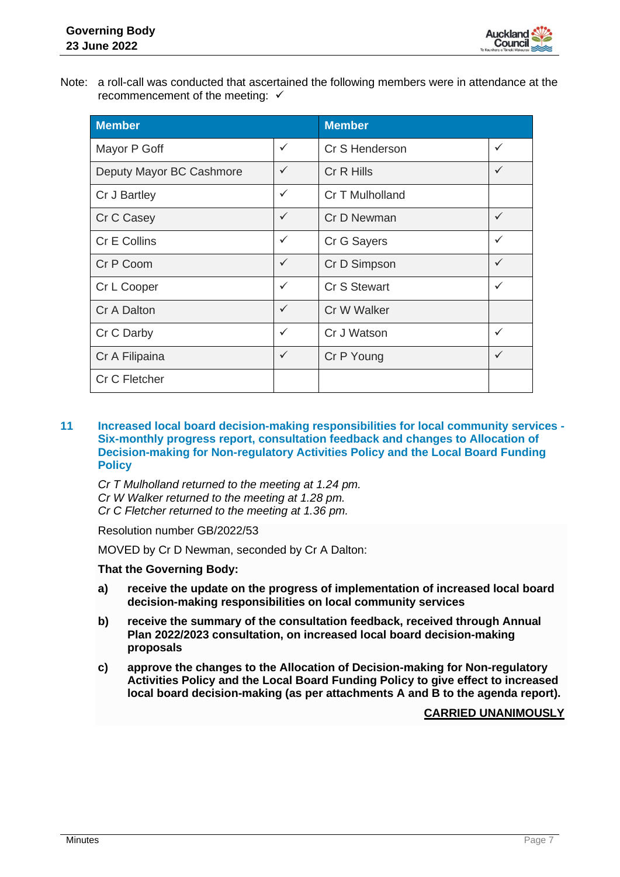

Note: a roll-call was conducted that ascertained the following members were in attendance at the recommencement of the meeting:  $√$ 

| <b>Member</b>            |              | <b>Member</b>   |              |
|--------------------------|--------------|-----------------|--------------|
| Mayor P Goff             | ✓            | Cr S Henderson  | ✓            |
| Deputy Mayor BC Cashmore | $\checkmark$ | Cr R Hills      |              |
| Cr J Bartley             | ✓            | Cr T Mulholland |              |
| Cr C Casey               | $\checkmark$ | Cr D Newman     | $\checkmark$ |
| Cr E Collins             | ✓            | Cr G Sayers     | $\checkmark$ |
| Cr P Coom                | ✓            | Cr D Simpson    | ✓            |
| Cr L Cooper              | ✓            | Cr S Stewart    | $\checkmark$ |
| Cr A Dalton              | $\checkmark$ | Cr W Walker     |              |
| Cr C Darby               | ✓            | Cr J Watson     | $\checkmark$ |
| Cr A Filipaina           | ✓            | Cr P Young      | $\checkmark$ |
| Cr C Fletcher            |              |                 |              |

**11 Increased local board decision-making responsibilities for local community services - Six-monthly progress report, consultation feedback and changes to Allocation of Decision-making for Non-regulatory Activities Policy and the Local Board Funding Policy**

*Cr T Mulholland returned to the meeting at 1.24 pm. Cr W Walker returned to the meeting at 1.28 pm. Cr C Fletcher returned to the meeting at 1.36 pm.*

Resolution number GB/2022/53

MOVED by Cr D Newman, seconded by Cr A Dalton:

#### **That the Governing Body:**

- **a) receive the update on the progress of implementation of increased local board decision-making responsibilities on local community services**
- **b) receive the summary of the consultation feedback, received through Annual Plan 2022/2023 consultation, on increased local board decision-making proposals**
- **c) approve the changes to the Allocation of Decision-making for Non-regulatory Activities Policy and the Local Board Funding Policy to give effect to increased local board decision-making (as per attachments A and B to the agenda report).**

#### **CARRIED UNANIMOUSLY**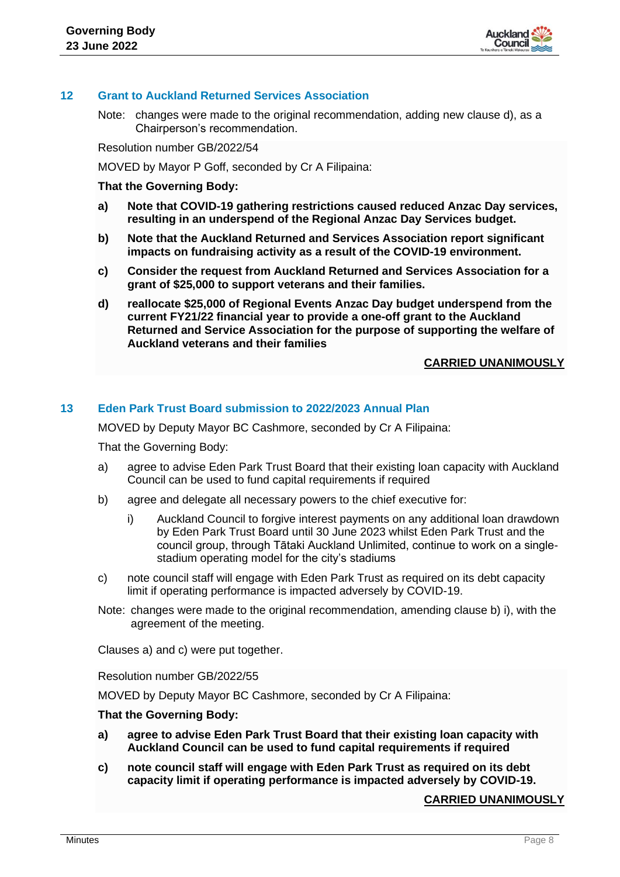

## **12 Grant to Auckland Returned Services Association**

Note: changes were made to the original recommendation, adding new clause d), as a Chairperson's recommendation.

Resolution number GB/2022/54

MOVED by Mayor P Goff, seconded by Cr A Filipaina:

#### **That the Governing Body:**

- **a) Note that COVID-19 gathering restrictions caused reduced Anzac Day services, resulting in an underspend of the Regional Anzac Day Services budget.**
- **b) Note that the Auckland Returned and Services Association report significant impacts on fundraising activity as a result of the COVID-19 environment.**
- **c) Consider the request from Auckland Returned and Services Association for a grant of \$25,000 to support veterans and their families.**
- **d) reallocate \$25,000 of Regional Events Anzac Day budget underspend from the current FY21/22 financial year to provide a one-off grant to the Auckland Returned and Service Association for the purpose of supporting the welfare of Auckland veterans and their families**

#### **CARRIED UNANIMOUSLY**

## **13 Eden Park Trust Board submission to 2022/2023 Annual Plan**

MOVED by Deputy Mayor BC Cashmore, seconded by Cr A Filipaina:

That the Governing Body:

- a) agree to advise Eden Park Trust Board that their existing loan capacity with Auckland Council can be used to fund capital requirements if required
- b) agree and delegate all necessary powers to the chief executive for:
	- i) Auckland Council to forgive interest payments on any additional loan drawdown by Eden Park Trust Board until 30 June 2023 whilst Eden Park Trust and the council group, through Tātaki Auckland Unlimited, continue to work on a singlestadium operating model for the city's stadiums
- c) note council staff will engage with Eden Park Trust as required on its debt capacity limit if operating performance is impacted adversely by COVID-19.
- Note: changes were made to the original recommendation, amending clause b) i), with the agreement of the meeting.

Clauses a) and c) were put together.

Resolution number GB/2022/55

MOVED by Deputy Mayor BC Cashmore, seconded by Cr A Filipaina:

#### **That the Governing Body:**

- **a) agree to advise Eden Park Trust Board that their existing loan capacity with Auckland Council can be used to fund capital requirements if required**
- **c) note council staff will engage with Eden Park Trust as required on its debt capacity limit if operating performance is impacted adversely by COVID-19.**

# **CARRIED UNANIMOUSLY**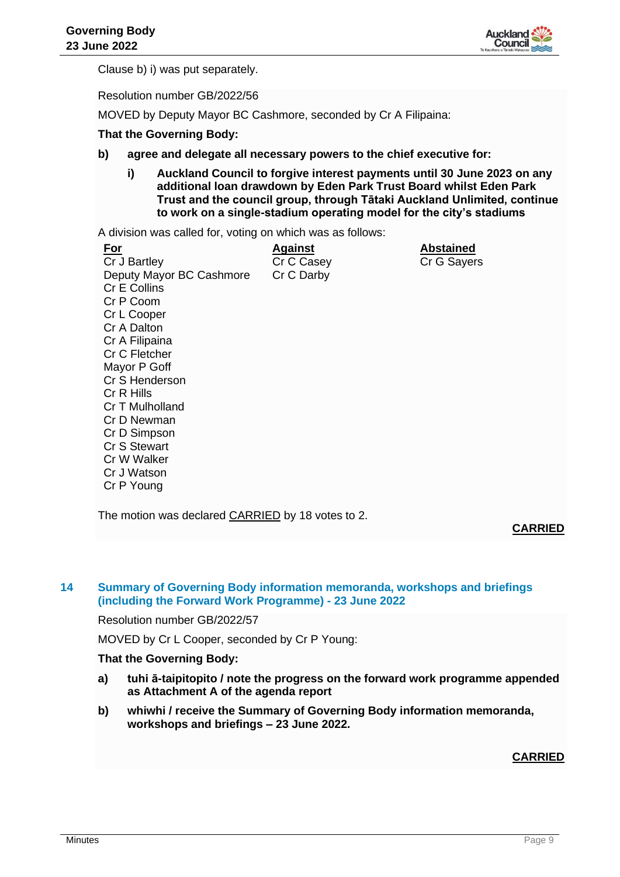

Clause b) i) was put separately.

Resolution number GB/2022/56

MOVED by Deputy Mayor BC Cashmore, seconded by Cr A Filipaina:

**That the Governing Body:**

- **b) agree and delegate all necessary powers to the chief executive for:**
	- **i) Auckland Council to forgive interest payments until 30 June 2023 on any additional loan drawdown by Eden Park Trust Board whilst Eden Park Trust and the council group, through Tātaki Auckland Unlimited, continue to work on a single-stadium operating model for the city's stadiums**

A division was called for, voting on which was as follows:

| For<br>Cr J Bartley<br>Deputy Mayor BC Cashmore<br>Cr E Collins<br>Cr P Coom<br>Cr L Cooper<br>Cr A Dalton<br>Cr A Filipaina<br>Cr C Fletcher<br>Mayor P Goff<br>Cr S Henderson<br>Cr R Hills<br>Cr T Mulholland<br>Cr D Newman<br>Cr D Simpson<br>Cr S Stewart<br>Cr W Walker | <b>Against</b><br>Cr C Casey<br>Cr C Darby | <b>Abstained</b><br>Cr G Sayers |
|--------------------------------------------------------------------------------------------------------------------------------------------------------------------------------------------------------------------------------------------------------------------------------|--------------------------------------------|---------------------------------|
| Cr J Watson<br>Cr P Young                                                                                                                                                                                                                                                      |                                            |                                 |

The motion was declared CARRIED by 18 votes to 2.

**CARRIED**

# **14 Summary of Governing Body information memoranda, workshops and briefings (including the Forward Work Programme) - 23 June 2022**

Resolution number GB/2022/57

MOVED by Cr L Cooper, seconded by Cr P Young:

#### **That the Governing Body:**

- **a) tuhi ā-taipitopito / note the progress on the forward work programme appended as Attachment A of the agenda report**
- **b) whiwhi / receive the Summary of Governing Body information memoranda, workshops and briefings – 23 June 2022.**

## **CARRIED**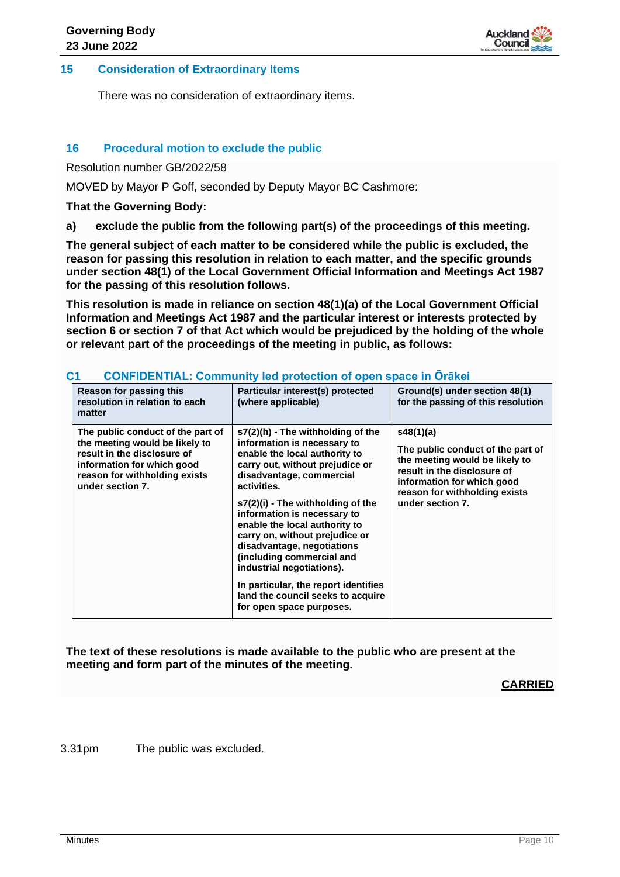

## **15 Consideration of Extraordinary Items**

There was no consideration of extraordinary items.

# **16 Procedural motion to exclude the public**

Resolution number GB/2022/58

MOVED by Mayor P Goff, seconded by Deputy Mayor BC Cashmore:

## **That the Governing Body:**

**a) exclude the public from the following part(s) of the proceedings of this meeting.**

**The general subject of each matter to be considered while the public is excluded, the reason for passing this resolution in relation to each matter, and the specific grounds under section 48(1) of the Local Government Official Information and Meetings Act 1987 for the passing of this resolution follows.**

**This resolution is made in reliance on section 48(1)(a) of the Local Government Official Information and Meetings Act 1987 and the particular interest or interests protected by section 6 or section 7 of that Act which would be prejudiced by the holding of the whole or relevant part of the proceedings of the meeting in public, as follows:**

| CONFIDENTIAL: COMMUNIUM led protection of open space in Oraker                                                                                                                        |                                                                                                                                                                                                                                                                                                                                                                                                                                                                                                                            |                                                                                                                                                                                                    |  |  |
|---------------------------------------------------------------------------------------------------------------------------------------------------------------------------------------|----------------------------------------------------------------------------------------------------------------------------------------------------------------------------------------------------------------------------------------------------------------------------------------------------------------------------------------------------------------------------------------------------------------------------------------------------------------------------------------------------------------------------|----------------------------------------------------------------------------------------------------------------------------------------------------------------------------------------------------|--|--|
| Reason for passing this<br>resolution in relation to each<br>matter                                                                                                                   | Particular interest(s) protected<br>(where applicable)                                                                                                                                                                                                                                                                                                                                                                                                                                                                     | Ground(s) under section 48(1)<br>for the passing of this resolution                                                                                                                                |  |  |
| The public conduct of the part of<br>the meeting would be likely to<br>result in the disclosure of<br>information for which good<br>reason for withholding exists<br>under section 7. | $s7(2)$ (h) - The withholding of the<br>information is necessary to<br>enable the local authority to<br>carry out, without prejudice or<br>disadvantage, commercial<br>activities.<br>s7(2)(i) - The withholding of the<br>information is necessary to<br>enable the local authority to<br>carry on, without prejudice or<br>disadvantage, negotiations<br>(including commercial and<br>industrial negotiations).<br>In particular, the report identifies<br>land the council seeks to acquire<br>for open space purposes. | s48(1)(a)<br>The public conduct of the part of<br>the meeting would be likely to<br>result in the disclosure of<br>information for which good<br>reason for withholding exists<br>under section 7. |  |  |

# **C1 CONFIDENTIAL: Community led protection of open space in Ōrākei**

**The text of these resolutions is made available to the public who are present at the meeting and form part of the minutes of the meeting.**

**CARRIED**

3.31pm The public was excluded.